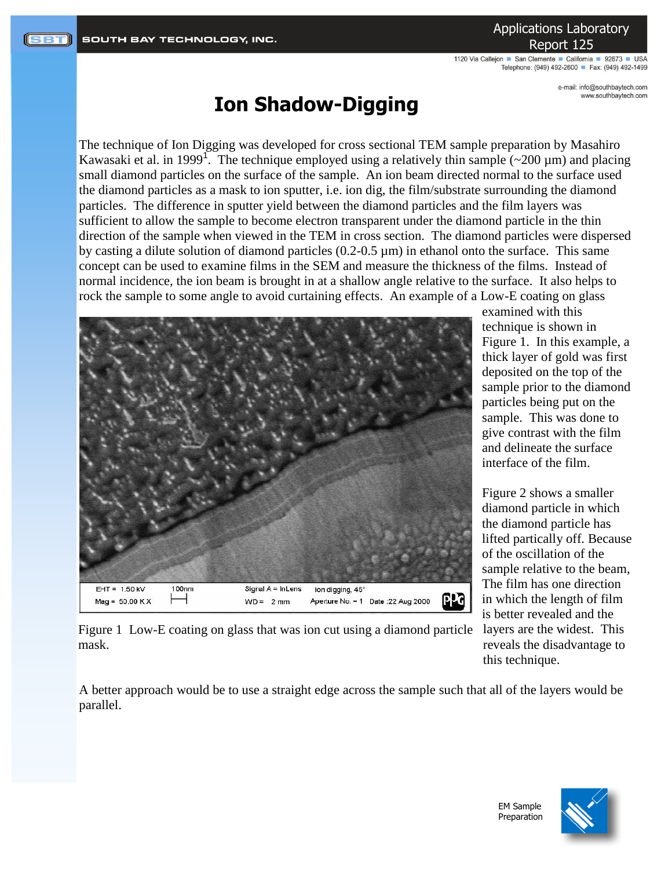Applications Laboratory Report 125

1120 Via Callejon San Clemente California 92673 USA Telephone: (949) 492-2600 Fax: (949) 492-1499

> e-mail: info@southbaytech.com www.southbaytech.com

## **Ion Shadow-Digging**

The technique of Ion Digging was developed for cross sectional TEM sample preparation by Masahiro Kawasaki et al. in 1999<sup>1</sup>. The technique employed using a relatively thin sample  $(\sim 200 \,\mu m)$  and placing small diamond particles on the surface of the sample. An ion beam directed normal to the surface used the diamond particles as a mask to ion sputter, i.e. ion dig, the film/substrate surrounding the diamond particles. The difference in sputter yield between the diamond particles and the film layers was sufficient to allow the sample to become electron transparent under the diamond particle in the thin direction of the sample when viewed in the TEM in cross section. The diamond particles were dispersed by casting a dilute solution of diamond particles (0.2-0.5 µm) in ethanol onto the surface. This same concept can be used to examine films in the SEM and measure the thickness of the films. Instead of normal incidence, the ion beam is brought in at a shallow angle relative to the surface. It also helps to rock the sample to some angle to avoid curtaining effects. An example of a Low-E coating on glass



examined with this technique is shown in Figure 1. In this example, a thick layer of gold was first deposited on the top of the sample prior to the diamond particles being put on the sample. This was done to give contrast with the film and delineate the surface interface of the film.

[Figure 2](#page-1-0) shows a smaller diamond particle in which the diamond particle has lifted partically off. Because of the oscillation of the sample relative to the beam, The film has one direction in which the length of film is better revealed and the layers are the widest. This reveals the disadvantage to this technique.

Figure 1 Low-E coating on glass that was ion cut using a diamond particle mask.

A better approach would be to use a straight edge across the sample such that all of the layers would be parallel.